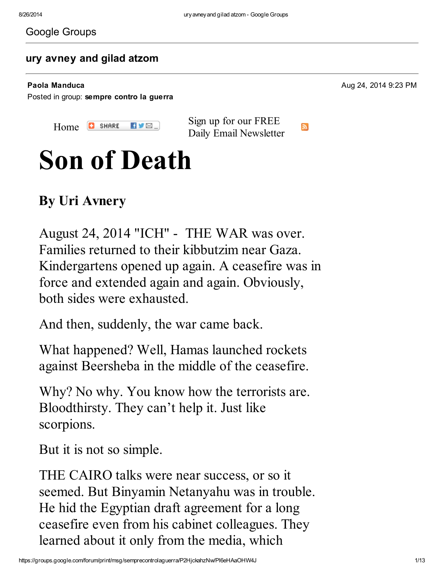#### Google Groups

#### ury [avney](https://groups.google.com/d/topic/semprecontrolaguerra/P2HjckahzNw) and gilad atzom

Posted in group: [sempre](https://groups.google.com/d/forum/semprecontrolaguerra) contro la guerra

Paola Manduca 2014 9:23 PM

[Home](http://www.informationclearinghouse.info/) **C** SHARE  $\blacksquare$ 

Sign up for our FREE Daily Email [Newsletter](http://visitor.r20.constantcontact.com/d.jsp?llr=iqnuv6bab&p=oi&m=1101581137416)

ЭŃ.

# Son of Death

### By Uri Avnery

August 24, 2014 ["ICH](http://www.informationclearinghouse.info/)" - THE WAR was over. Families returned to their kibbutzim near Gaza. Kindergartens opened up again. A ceasefire was in force and extended again and again. Obviously, both sides were exhausted.

And then, suddenly, the war came back.

What happened? Well, Hamas launched rockets against Beersheba in the middle of the ceasefire.

Why? No why. You know how the terrorists are. Bloodthirsty. They can't help it. Just like scorpions.

But it is not so simple.

THE CAIRO talks were near success, or so it seemed. But Binyamin Netanyahu was in trouble. He hid the Egyptian draft agreement for a long ceasefire even from his cabinet colleagues. They learned about it only from the media, which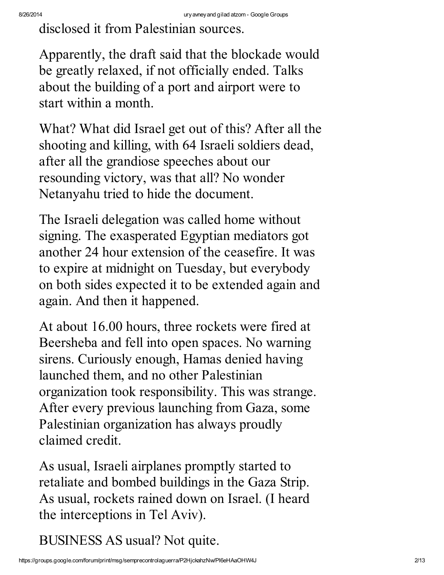disclosed it from Palestinian sources.

Apparently, the draft said that the blockade would be greatly relaxed, if not officially ended. Talks about the building of a port and airport were to start within a month.

What? What did Israel get out of this? After all the shooting and killing, with 64 Israeli soldiers dead, after all the grandiose speeches about our resounding victory, was that all? No wonder Netanyahu tried to hide the document.

The Israeli delegation was called home without signing. The exasperated Egyptian mediators got another 24 hour extension of the ceasefire. It was to expire at midnight on Tuesday, but everybody on both sides expected it to be extended again and again. And then it happened.

At about 16.00 hours, three rockets were fired at Beersheba and fell into open spaces. No warning sirens. Curiously enough, Hamas denied having launched them, and no other Palestinian organization took responsibility. This was strange. After every previous launching from Gaza, some Palestinian organization has always proudly claimed credit.

As usual, Israeli airplanes promptly started to retaliate and bombed buildings in the Gaza Strip. As usual, rockets rained down on Israel. (I heard the interceptions in Tel Aviv).

BUSINESS AS usual? Not quite.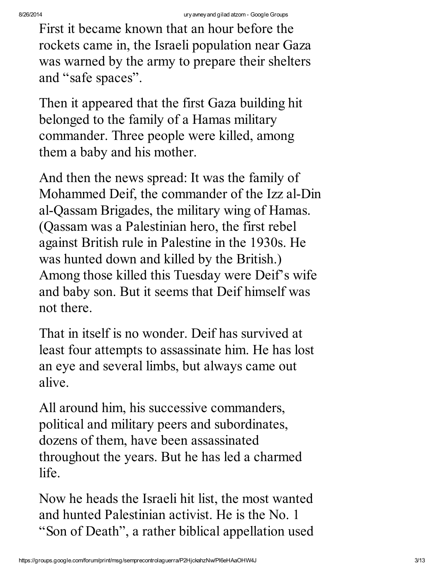First it became known that an hour before the rockets came in, the Israeli population near Gaza was warned by the army to prepare their shelters and "safe spaces".

Then it appeared that the first Gaza building hit belonged to the family of a Hamas military commander. Three people were killed, among them a baby and his mother.

And then the news spread: It was the family of Mohammed Deif, the commander of the Izz al-Din al-Qassam Brigades, the military wing of Hamas. (Qassam was a Palestinian hero, the first rebel against British rule in Palestine in the 1930s. He was hunted down and killed by the British.) Among those killed this Tuesday were Deif's wife and baby son. But it seems that Deif himself was not there.

That in itself is no wonder. Deif has survived at least four attempts to assassinate him. He has lost an eye and several limbs, but always came out alive.

All around him, his successive commanders, political and military peers and subordinates, dozens of them, have been assassinated throughout the years. But he has led a charmed life.

Now he heads the Israeli hit list, the most wanted and hunted Palestinian activist. He is the No. 1 "Son of Death" , a rather biblical appellation used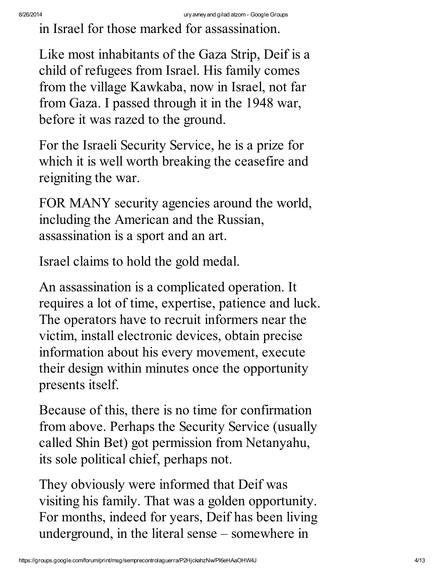in Israel for those marked for assassination.

Like most inhabitants of the Gaza Strip, Deif is a child of refugees from Israel. His family comes from the village Kawkaba, now in Israel, not far from Gaza. I passed through it in the 1948 war, before it was razed to the ground.

For the Israeli Security Service, he is a prize for which it is well worth breaking the ceasefire and reigniting the war.

FOR MANY security agencies around the world, including the American and the Russian, assassination is a sport and an art.

Israel claims to hold the gold medal.

An assassination is a complicated operation. It requires a lot of time, expertise, patience and luck. The operators have to recruit informers near the victim, install electronic devices, obtain precise information about his every movement, execute their design within minutes once the opportunity presents itself.

Because of this, there is no time for confirmation from above. Perhaps the Security Service (usually called Shin Bet) got permission from Netanyahu, its sole political chief, perhaps not.

They obviously were informed that Deif was visiting his family. That was a golden opportunity. For months, indeed for years, Deif has been living underground, in the literal sense – somewhere in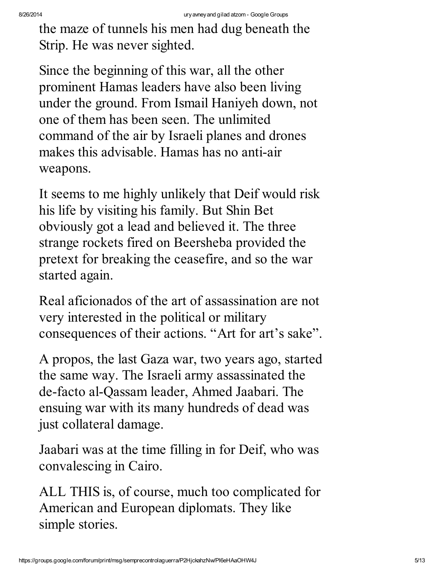the maze of tunnels his men had dug beneath the Strip. He was never sighted.

Since the beginning of this war, all the other prominent Hamas leaders have also been living under the ground. From Ismail Haniyeh down, not one of them has been seen. The unlimited command of the air by Israeli planes and drones makes this advisable. Hamas has no anti-air weapons.

It seems to me highly unlikely that Deif would risk his life by visiting his family. But Shin Bet obviously got a lead and believed it. The three strange rockets fired on Beersheba provided the pretext for breaking the ceasefire, and so the war started again.

Real aficionados of the art of assassination are not very interested in the political or military consequences of their actions. "Art for art's sake".

A propos, the last Gaza war, two years ago, started the same way. The Israeli army assassinated the de-facto al-Qassam leader, Ahmed Jaabari. The ensuing war with its many hundreds of dead was just collateral damage.

Jaabari was at the time filling in for Deif, who was convalescing in Cairo.

ALL THIS is, of course, much too complicated for American and European diplomats. They like simple stories.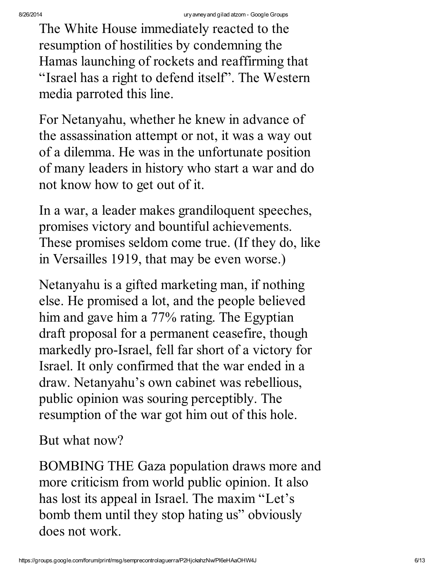The White House immediately reacted to the resumption of hostilities by condemning the Hamas launching of rockets and reaffirming that "Israel has a right to defend itself". The Western media parroted this line.

For Netanyahu, whether he knew in advance of the assassination attempt or not, it was a way out of a dilemma. He was in the unfortunate position of many leaders in history who start a war and do not know how to get out of it.

In a war, a leader makes grandiloquent speeches, promises victory and bountiful achievements. These promises seldom come true. (If they do, like in Versailles 1919, that may be even worse.)

Netanyahu is a gifted marketing man, if nothing else. He promised a lot, and the people believed him and gave him a 77% rating. The Egyptian draft proposal for a permanent ceasefire, though markedly pro-Israel, fell far short of a victory for Israel. It only confirmed that the war ended in a draw. Netanyahu's own cabinet was rebellious, public opinion was souring perceptibly. The resumption of the war got him out of this hole.

But what now?

BOMBING THE Gaza population draws more and more criticism from world public opinion. It also has lost its appeal in Israel. The maxim "Let's bomb them until they stop hating us" obviously does not work.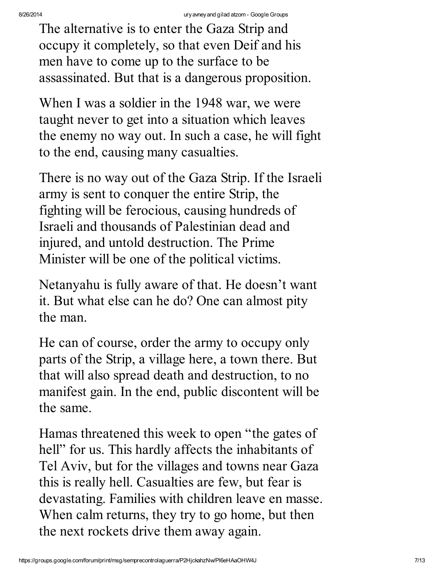The alternative is to enter the Gaza Strip and occupy it completely, so that even Deif and his men have to come up to the surface to be assassinated. But that is a dangerous proposition.

When I was a soldier in the 1948 war, we were taught never to get into a situation which leaves the enemy no way out. In such a case, he will fight to the end, causing many casualties.

There is no way out of the Gaza Strip. If the Israeli army is sent to conquer the entire Strip, the fighting will be ferocious, causing hundreds of Israeli and thousands of Palestinian dead and injured, and untold destruction. The Prime Minister will be one of the political victims.

Netanyahu is fully aware of that. He doesn't want it. But what else can he do? One can almost pity the man.

He can of course, order the army to occupy only parts of the Strip, a village here, a town there. But that will also spread death and destruction, to no manifest gain. In the end, public discontent will be the same.

Hamas threatened this week to open "the gates of hell" for us. This hardly affects the inhabitants of Tel Aviv, but for the villages and towns near Gaza this is really hell. Casualties are few, but fear is devastating. Families with children leave en masse. When calm returns, they try to go home, but then the next rockets drive them away again.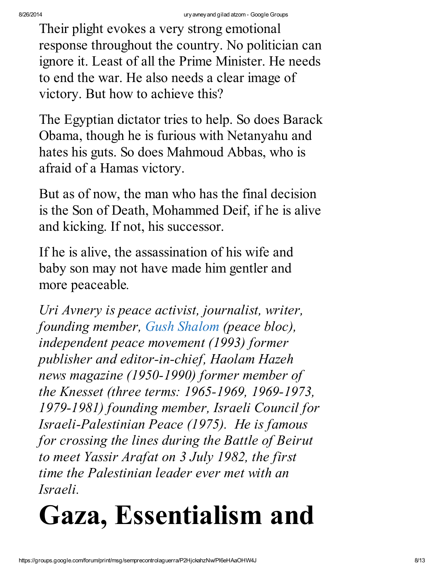Their plight evokes a very strong emotional response throughout the country. No politician can ignore it. Least of all the Prime Minister. He needs to end the war. He also needs a clear image of victory. But how to achieve this?

The Egyptian dictator tries to help. So does Barack Obama, though he is furious with Netanyahu and hates his guts. So does Mahmoud Abbas, who is afraid of a Hamas victory.

But as of now, the man who has the final decision is the Son of Death, Mohammed Deif, if he is alive and kicking. If not, his successor.

If he is alive, the assassination of his wife and baby son may not have made him gentler and more peaceable*.*

*Uri Avnery is peace activist, journalist, writer, founding member, Gush [Shalom](http://zope.gush-shalom.org/index_en.html) (peace bloc), independent peace movement (1993) former publisher and editor-in-chief, Haolam Hazeh news magazine (1950-1990) former member of the Knesset (three terms: 1965-1969, 1969-1973, 1979-1981) founding member, Israeli Council for Israeli-Palestinian Peace (1975). He is famous for crossing the lines during the Battle of Beirut to meet Yassir Arafat on 3 July 1982, the first time the Palestinian leader ever met with an Israeli.*

# Gaza, Essentialism and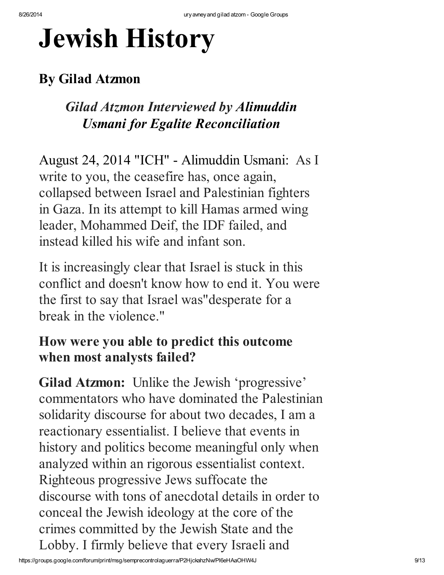# Jewish History

### By Gilad Atzmon

### *Gilad Atzmon Interviewed by Alimuddin Usmani for Egalite [Reconciliation](http://www.egaliteetreconciliation.fr/Entretien-avec-Gilad-Atzmon-sur-la-politique-israelienne-et-les-Etats-Unis-27394.html)*

August 24, 2014 ["ICH](http://www.informationclearinghouse.info/)" - Alimuddin Usmani: As I write to you, the ceasefire has, once again, collapsed between Israel and Palestinian fighters in Gaza. In its attempt to kill Hamas armed wing leader, Mohammed Deif, the IDF failed, and instead killed his wife and infant son.

It is increasingly clear that Israel is stuck in this conflict and doesn't know how to end it. You were the first to say that Israel [was"desperate](http://www.gilad.co.uk/writings/once-again-israel-is-defeated.html) for a break in the violence."

### How were you able to predict this outcome when most analysts failed?

Gilad Atzmon: Unlike the Jewish 'progressive' commentators who have dominated the Palestinian solidarity discourse for about two decades, I am a reactionary essentialist. I believe that events in history and politics become meaningful only when analyzed within an rigorous essentialist context. Righteous progressive Jews suffocate the discourse with tons of anecdotal details in order to conceal the Jewish ideology at the core of the crimes committed by the Jewish State and the Lobby. I firmly believe that every Israeli and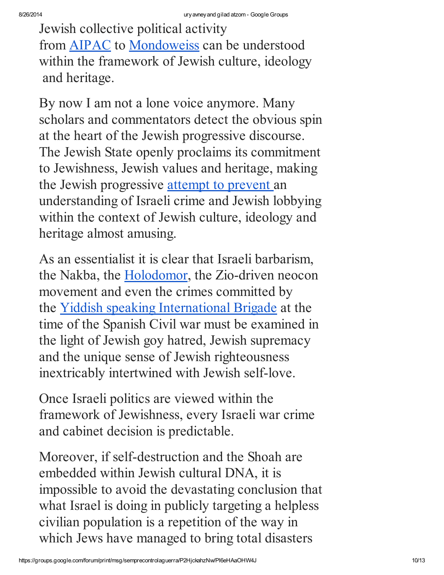Jewish collective political activity from AIPAC to Mondoweiss can be understood within the framework of Jewish culture, ideology and heritage.

By now I am not a lone voice anymore. Many scholars and commentators detect the obvious spin at the heart of the Jewish progressive discourse. The Jewish State openly proclaims its commitment to Jewishness, Jewish values and heritage, making the Jewish progressive attempt to prevent an understanding of Israeli crime and Jewish lobbying within the context of Jewish culture, ideology and heritage almost amusing.

As an essentialist it is clear that Israeli barbarism, the Nakba, the Holodomor, the Zio-driven neocon movement and even the crimes committed by the Yiddish speaking International Brigade at the time of the Spanish Civil war must be examined in the light of Jewish goy hatred, Jewish supremacy and the unique sense of Jewish righteousness inextricably intertwined with Jewish self-love.

Once Israeli politics are viewed within the framework of Jewishness, every Israeli war crime and cabinet decision is predictable.

Moreover, if self-destruction and the Shoah are embedded within Jewish cultural DNA, it is impossible to avoid the devastating conclusion that what Israel is doing in publicly targeting a helpless civilian population is a repetition of the way in which Jews have managed to bring total disasters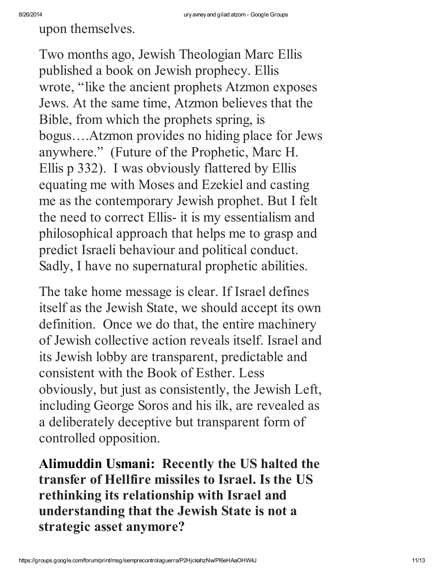upon themselves.

Two months ago, Jewish Theologian Marc Ellis published a book on Jewish prophecy. Ellis wrote, "like the ancient prophets Atzmon exposes Jews. At the same time, Atzmon believes that the Bible, from which the prophets spring, is bogus….Atzmon provides no hiding place for Jews anywhere." (Future of the Prophetic, Marc H. Ellis p 332). I was obviously flattered by Ellis equating me with Moses and Ezekiel and casting me as the contemporary Jewish prophet. But I felt the need to correct Ellis- it is my essentialism and philosophical approach that helps me to grasp and predict Israeli behaviour and political conduct. Sadly, I have no supernatural prophetic abilities.

The take home message is clear. If Israel defines itself as the Jewish State, we should accept its own definition. Once we do that, the entire machinery of Jewish collective action reveals itself. Israel and its Jewish lobby are transparent, predictable and consistent with the Book of Esther. Less obviously, but just as consistently, the Jewish Left, including George Soros and his ilk, are revealed as a deliberately deceptive but transparent form of controlled opposition.

Alimuddin Usmani: Recently the US halted the transfer of Hellfire missiles to Israel. Is the US rethinking its relationship with Israel and understanding that the Jewish State is not a strategic asset anymore?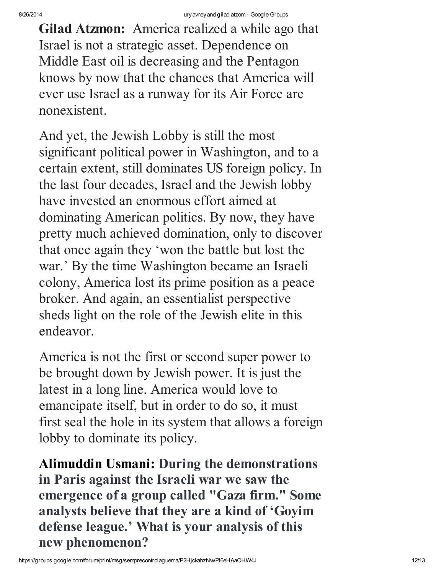Gilad Atzmon: America realized a while ago that Israel is not a strategic asset. Dependence on Middle East oil is decreasing and the Pentagon knows by now that the chances that America will ever use Israel as a runway for its Air Force are nonexistent.

And yet, the Jewish Lobby is still the most significant political power in Washington, and to a certain extent, still dominates US foreign policy. In the last four decades, Israel and the Jewish lobby have invested an enormous effort aimed at dominating American politics. By now, they have pretty much achieved domination, only to discover that once again they 'won the battle but lost the war.' By the time Washington became an Israeli colony, America lost its prime position as a peace broker. And again, an essentialist perspective sheds light on the role of the Jewish elite in this endeavor.

America is not the first or second super power to be brought down by Jewish power. It is just the latest in a long line. America would love to emancipate itself, but in order to do so, it must first seal the hole in its system that allows a foreign lobby to dominate its policy.

Alimuddin Usmani: During the demonstrations in Paris against the Israeli war we saw the emergence of a group called "Gaza firm." Some [analysts](http://www.egaliteetreconciliation.fr/Gaza-Firm-enfin-une-Ligue-de-defense-goy-26782.html) believe that they are a kind of 'Goyim defense league.' What is your analysis of this new phenomenon?